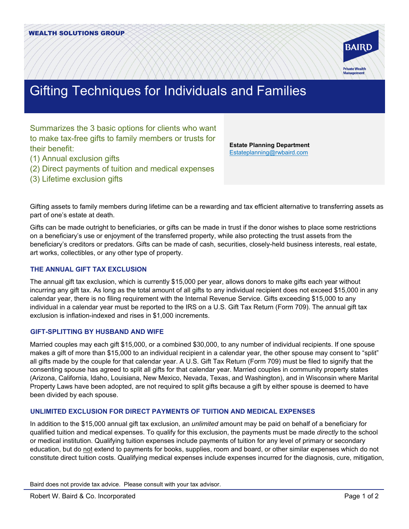

# Gifting Techniques for Individuals and Families

Summarizes the 3 basic options for clients who want to make tax-free gifts to family members or trusts for their benefit:

- (1) Annual exclusion gifts
- (2) Direct payments of tuition and medical expenses
- (3) Lifetime exclusion gifts

**Estate Planning Department** [Estateplanning@rwbaird.com](mailto:Estateplanning@rwbaird.com)

Gifting assets to family members during lifetime can be a rewarding and tax efficient alternative to transferring assets as part of one's estate at death.

Gifts can be made outright to beneficiaries, or gifts can be made in trust if the donor wishes to place some restrictions on a beneficiary's use or enjoyment of the transferred property, while also protecting the trust assets from the beneficiary's creditors or predators. Gifts can be made of cash, securities, closely-held business interests, real estate, art works, collectibles, or any other type of property.

## **THE ANNUAL GIFT TAX EXCLUSION**

The annual gift tax exclusion, which is currently \$15,000 per year, allows donors to make gifts each year without incurring any gift tax. As long as the total amount of all gifts to any individual recipient does not exceed \$15,000 in any calendar year, there is no filing requirement with the Internal Revenue Service. Gifts exceeding \$15,000 to any individual in a calendar year must be reported to the IRS on a U.S. Gift Tax Return (Form 709). The annual gift tax exclusion is inflation-indexed and rises in \$1,000 increments.

#### **GIFT-SPLITTING BY HUSBAND AND WIFE**

Married couples may each gift \$15,000, or a combined \$30,000, to any number of individual recipients. If one spouse makes a gift of more than \$15,000 to an individual recipient in a calendar year, the other spouse may consent to "split" all gifts made by the couple for that calendar year. A U.S. Gift Tax Return (Form 709) must be filed to signify that the consenting spouse has agreed to split all gifts for that calendar year. Married couples in community property states (Arizona, California, Idaho, Louisiana, New Mexico, Nevada, Texas, and Washington), and in Wisconsin where Marital Property Laws have been adopted, are not required to split gifts because a gift by either spouse is deemed to have been divided by each spouse.

## **UNLIMITED EXCLUSION FOR DIRECT PAYMENTS OF TUITION AND MEDICAL EXPENSES**

In addition to the \$15,000 annual gift tax exclusion, an *unlimited* amount may be paid on behalf of a beneficiary for qualified tuition and medical expenses. To qualify for this exclusion, the payments must be made *directly* to the school or medical institution. Qualifying tuition expenses include payments of tuition for any level of primary or secondary education, but do not extend to payments for books, supplies, room and board, or other similar expenses which do not constitute direct tuition costs. Qualifying medical expenses include expenses incurred for the diagnosis, cure, mitigation,

Baird does not provide tax advice. Please consult with your tax advisor.